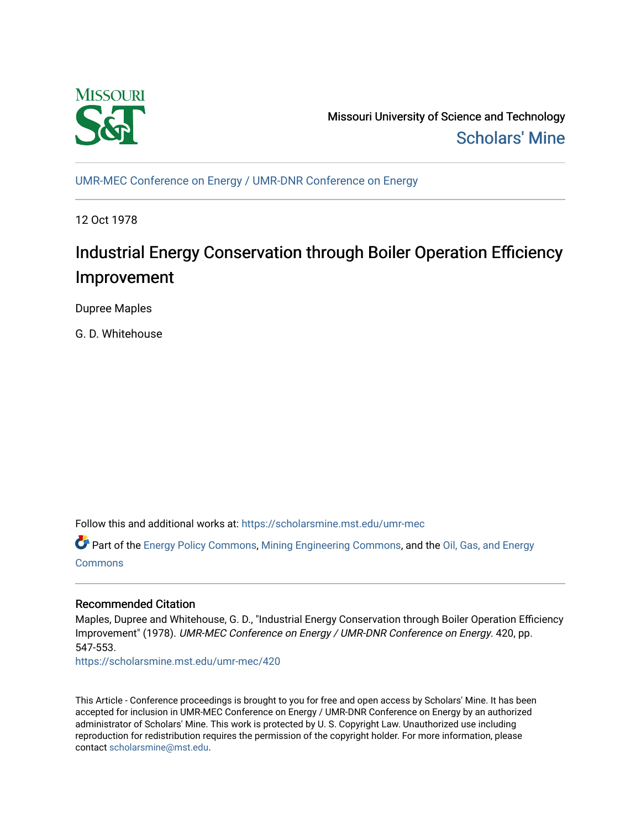

Missouri University of Science and Technology [Scholars' Mine](https://scholarsmine.mst.edu/) 

[UMR-MEC Conference on Energy / UMR-DNR Conference on Energy](https://scholarsmine.mst.edu/umr-mec)

12 Oct 1978

# Industrial Energy Conservation through Boiler Operation Efficiency Improvement

Dupree Maples

G. D. Whitehouse

Follow this and additional works at: [https://scholarsmine.mst.edu/umr-mec](https://scholarsmine.mst.edu/umr-mec?utm_source=scholarsmine.mst.edu%2Fumr-mec%2F420&utm_medium=PDF&utm_campaign=PDFCoverPages) 

Part of the [Energy Policy Commons](http://network.bepress.com/hgg/discipline/1065?utm_source=scholarsmine.mst.edu%2Fumr-mec%2F420&utm_medium=PDF&utm_campaign=PDFCoverPages), [Mining Engineering Commons](http://network.bepress.com/hgg/discipline/1090?utm_source=scholarsmine.mst.edu%2Fumr-mec%2F420&utm_medium=PDF&utm_campaign=PDFCoverPages), and the [Oil, Gas, and Energy](http://network.bepress.com/hgg/discipline/171?utm_source=scholarsmine.mst.edu%2Fumr-mec%2F420&utm_medium=PDF&utm_campaign=PDFCoverPages)  [Commons](http://network.bepress.com/hgg/discipline/171?utm_source=scholarsmine.mst.edu%2Fumr-mec%2F420&utm_medium=PDF&utm_campaign=PDFCoverPages)

# Recommended Citation

Maples, Dupree and Whitehouse, G. D., "Industrial Energy Conservation through Boiler Operation Efficiency Improvement" (1978). UMR-MEC Conference on Energy / UMR-DNR Conference on Energy. 420, pp. 547-553.

[https://scholarsmine.mst.edu/umr-mec/420](https://scholarsmine.mst.edu/umr-mec/420?utm_source=scholarsmine.mst.edu%2Fumr-mec%2F420&utm_medium=PDF&utm_campaign=PDFCoverPages) 

This Article - Conference proceedings is brought to you for free and open access by Scholars' Mine. It has been accepted for inclusion in UMR-MEC Conference on Energy / UMR-DNR Conference on Energy by an authorized administrator of Scholars' Mine. This work is protected by U. S. Copyright Law. Unauthorized use including reproduction for redistribution requires the permission of the copyright holder. For more information, please contact [scholarsmine@mst.edu](mailto:scholarsmine@mst.edu).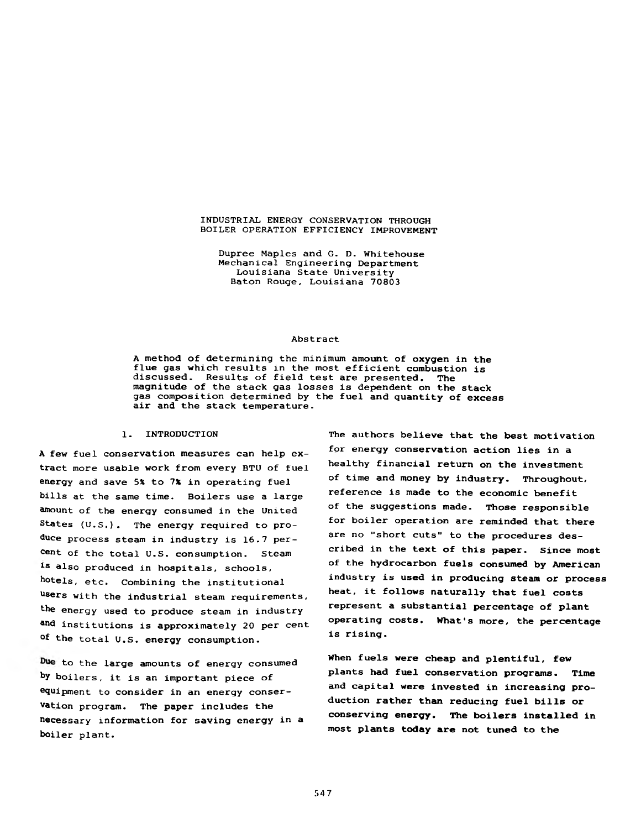#### INDUSTRIAL ENERGY CONSERVATION THROUGH BOILER OPERATION EFFICIENCY IMPROVEMENT

Dupree Maples and G. D. Whitehouse Mechanical Engineering Department Louisiana State University Baton Rouge, Louisiana 70803

#### Abstract

A method of determining the minimum amount of oxygen in the flue gas which results in the most efficient combustion is discussed. Results of field test are presented. The magnitude of the stack gas losses is dependent on the stack gas composition determined by the fuel and quantity of excess air and the stack temperature.

#### 1. INTRODUCTION

A few fuel conservation measures can help extract more usable work from every BTU of fuel energy and save 5% to 7% in operating fuel bills at the same time. Boilers use a large amount of the energy consumed in the United States (U.S.). The energy required to produce process steam in industry is 16.7 percent of the total U.S. consumption. Steam 18 also produced in hospitals, schools, hotels, etc. Combining the institutional users with the industrial steam requirements, the energy used to produce steam in industry ahd institutions is approximately 20 per cent of the total U.S. energy consumption.

Due to the large amounts of energy consumed by boilers, it is an important piece of equipment to consider in an energy conservation program. The paper includes the necessary information for saving energy in a boiler plant.

The authors believe that the best motivation for energy conservation action lies in a healthy financial return on the investment of time and money by industry. Throughout, reference is made to the economic benefit of the suggestions made. Those responsible for boiler operation are reminded that there are no "short cuts" to the procedures described in the text of this paper. Since most of the hydrocarbon fuels consumed by American industry is used in producing steam or process heat, it follows naturally that fuel costs represent a substantial percentage of plant operating costs. What's more, the percentage is rising.

When fuels were cheap and plentiful, few plants had fuel conservation programs. Time and capital were invested in increasing production rather than reducing fuel bills or conserving energy. The boilers installed in most plants today are not tuned to the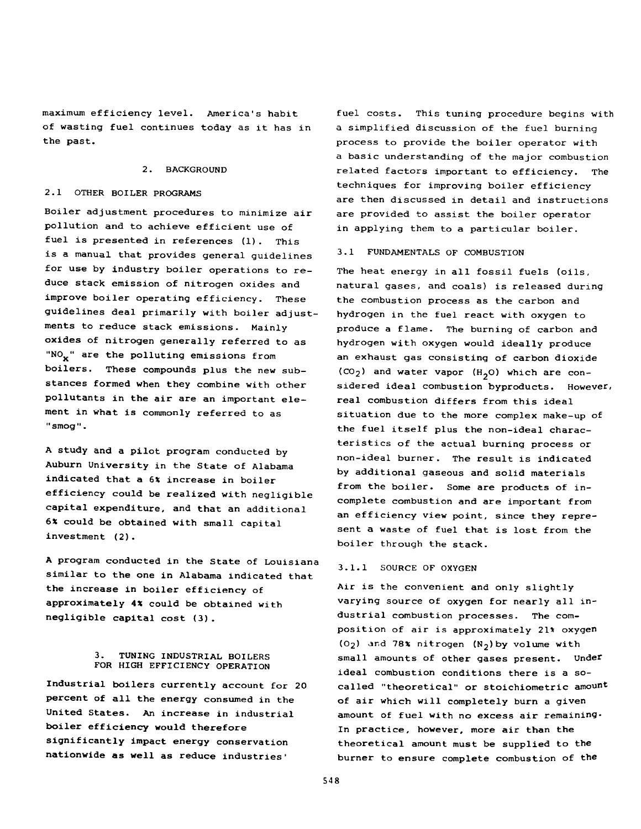maximum efficiency level. America's habit of wasting fuel continues today as it has in the past.

#### 2. BACKGROUND

#### 2.1 OTHER BOILER PROGRAMS

Boiler adjustment procedures to minimize air pollution and to achieve efficient use of fuel is presented in references (1). This is a manual that provides general guidelines for use by industry boiler operations to reduce stack emission of nitrogen oxides and improve boiler operating efficiency. These guidelines deal primarily with boiler adjustments to reduce stack emissions. Mainly oxides of nitrogen generally referred to as "NO<sub>x</sub>" are the polluting emissions from boilers. These compounds plus the new substances formed when they combine with other pollutants in the air are an important element in what is commonly referred to as "smog".

A study and a pilot program conducted by Auburn University in the State of Alabama indicated that a 6% increase in boiler efficiency could be realized with negligible capital expenditure, and that an additional 6% could be obtained with small capital investment (2).

A program conducted in the State of Louisiana similar to the one in Alabama indicated that the increase in boiler efficiency of approximately 4% could be obtained with negligible capital cost (3).

## 3. TUNING INDUSTRIAL BOILERS FOR HIGH EFFICIENCY OPERATION

Industrial boilers currently account for 20 percent of all the energy consumed in the United States. An increase in industrial boiler efficiency would therefore significantly impact energy conservation nationwide as well as reduce industries'

fuel costs. This tuning procedure begins with a simplified discussion of the fuel burning process to provide the boiler operator with a basic understanding of the major combustion related factors important to efficiency. The techniques for improving boiler efficiency are then discussed in detail and instructions are provided to assist the boiler operator in applying them to a particular boiler.

#### 3.1 FUNDAMENTALS OF COMBUSTION

The heat energy in all fossil fuels (oils, natural gases, and coals) is released during the combustion process as the carbon and hydrogen in the fuel react with oxygen to produce a flame. The burning of carbon and hydrogen with oxygen would ideally produce an exhaust gas consisting of carbon dioxide  $(CO_2)$  and water vapor  $(H_2O)$  which are considered ideal combustion byproducts. However, real combustion differs from this ideal situation due to the more complex make-up of the fuel itself plus the non-ideal characteristics of the actual burning process or non-ideal burner. The result is indicated by additional gaseous and solid materials from the boiler. Some are products of incomplete combustion and are important from an efficiency view point, since they represent a waste of fuel that is lost from the boiler through the stack.

#### 3.1.1 SOURCE OF OXYGEN

Air is the convenient and only slightly varying source of oxygen for nearly all industrial combustion processes. The composition of air is approximately 21\* oxygen  $(0<sub>2</sub>)$  and 78% nitrogen  $(N<sub>2</sub>)$  by volume with small amounts of other gases present. Under ideal combustion conditions there is a socalled "theoretical" or stoichiometric amount of air which will completely burn a given amount of fuel with no excess air remaining. In practice, however, more air than the theoretical amount must be supplied to the burner to ensure complete combustion of the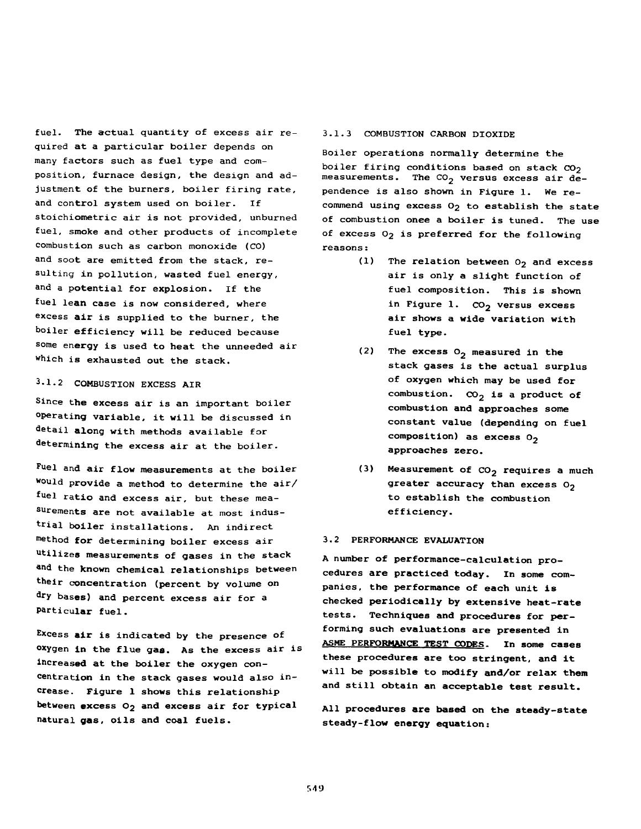fuel. The actual quantity of excess air required at a particular boiler depends on many factors such as fuel type and composition, furnace design, the design and adjustment of the burners, boiler firing rate, and control system used on boiler. If stoichiometric air is not provided, unburned fuel, smoke and other products of incomplete combustion such as carbon monoxide (CO) and soot are emitted from the stack, resulting in pollution, wasted fuel energy, and a potential for explosion. if the fuel lean case is now considered, where excess air is supplied to the burner, the boiler efficiency will be reduced because some energy is used to heat the unneeded air which is exhausted out the stack.

# 3.1.2 COMBUSTION EXCESS AIR

Since the excess air is an important boiler operating variable, it will be discussed in detail along with methods available for determining the excess air at the boiler.

fuel and air flow measurements at the boiler would provide a method to determine the air/ fuel ratio and excess air, but these measurements are not available at most industrial boiler installations. An indirect method for determining boiler excess air utilizes measurements of gases in the stack and the known chemical relationships between their concentration (percent by volume on dry bases) and percent excess air for a particular fuel.

Excess air is indicated by the presence of oxygen in the flue gas. As the excess air is increased at the boiler the oxygen concentration in the stack gases would also increase. Figure 1 shows this relationship between excess  $O_2$  and excess air for typical natural gas, oils and coal fuels.

### 3.1.3 COMBUSTION CARBON DIOXIDE

Boiler operations normally determine the boiler firing conditions based on stack  $CO<sub>2</sub>$ measurements. The  $co<sub>2</sub>$  versus excess air dependence is also shown in Figure 1. We recommend using excess O<sub>2</sub> to establish the state of combustion onee a boiler is tuned. The use of excess  $0_2$  is preferred for the following reasons:

- (1) The relation between  $0<sub>2</sub>$  and excess air is only a slight function of fuel composition. This is shown in Figure 1.  $CO<sub>2</sub>$  versus excess air shows a wide variation with fuel type.
- (2) The excess  $O_2$  measured in the stack gases is the actual surplus of oxygen which may be used for combustion.  $CO_2$  is a product of combustion and approaches some constant value (depending on fuel composition) as excess  $0_2$ approaches zero.
- (3) Measurement of CO<sub>2</sub> requires a much greater accuracy than excess  $O_2$ to establish the combustion efficiency.

#### 3.2 PERFORMANCE EVALUATION

A number of performance-calculation procedures are practiced today. In some companies, the performance of each unit is checked periodically by extensive heat-rate tests. Techniques and procedures for performing such evaluations are presented in ASME PERFORMANCE TEST CODES. In some cases these procedures are too stringent, and it will be possible to modify and/or relax them and still obtain an acceptable test result.

All procedures are based on the steady-state steady-flow energy equation: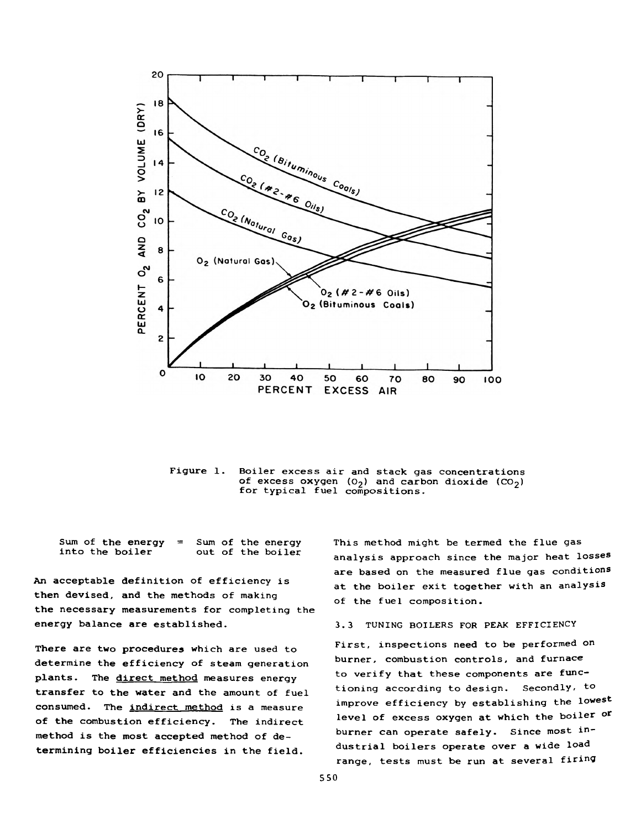

Figure 1. Boiler excess air and stack gas concentrations of excess oxygen  $(0_2)$  and carbon dioxide  $(CO_2)$ for typical fuel compositions.

Sum of the energy  $=$  Sum of the energy<br>into the boiler out of the boiler out of the boiler

An acceptable definition of efficiency is then devised, and the methods of making the necessary measurements for completing the energy balance are established.

There are two procedures which are used to determine the efficiency of steam generation plants. The direct method measures energy transfer to the water and the amount of fuel consumed. The indirect method is a measure of the combustion efficiency. The indirect method is the most accepted method of determining boiler efficiencies in the field.

This method might be termed the flue gas analysis approach since the major heat losses are based on the measured flue gas conditions at the boiler exit together with an analysis of the fuel composition.

#### 3.3 TUNING BOILERS FOR PEAK EFFICIENCY

First, inspections need to be performed on burner, combustion controls, and furnace to verify that these components are functioning according to design. Secondly, to improve efficiency by establishing the lowest level of excess oxygen at which the boiler or burner can operate safely. Since most industrial boilers operate over a wide load range, tests must be run at several firing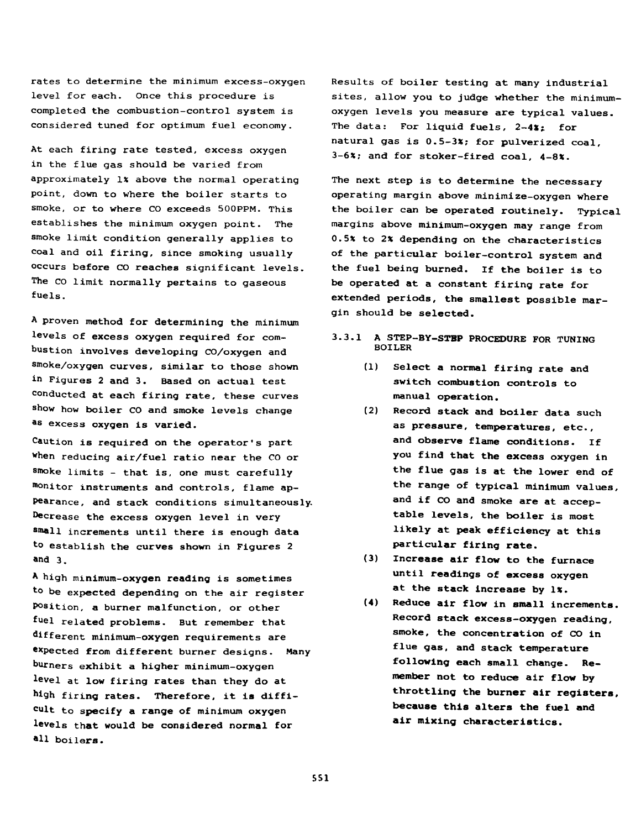rates to determine the minimum excess-oxygen level for each. Once this procedure is completed the combustion-control system is considered tuned for optimum fuel economy.

At each firing rate tested, excess oxygen in the flue gas should be varied from approximately 1% above the normal operating point, down to where the boiler starts to smoke, or to where CO exceeds 500PPM. This establishes the minimum oxygen point. The smoke limit condition generally applies to coal and oil firing, since smoking usually occurs before CO reaches significant levels. The CO limit normally pertains to gaseous fuels.

A proven method for determining the minimum levels of excess oxygen required for combustion involves developing CO/oxygen and smoke/oxygen curves, similar to those shown in Figures 2 and 3. Based on actual test conducted at each firing rate, these curves show how boiler CO and smoke levels change as excess oxygen is varied.

Caution is required on the operator's part when reducing air/fuel ratio near the CO or smoke limits - that is, one must carefully monitor instruments and controls, flame appearance, and stack conditions simultaneously. Decrease the excess oxygen level in very small increments until there is enough data to establish the curves shown in Figures 2 and 3.

A high minimum-oxygen reading is sometimes to be expected depending on the air register Position, a burner malfunction, or other fuel related problems. But remember that different minimum-oxygen requirements are expected from different burner designs. Many burners exhibit a higher minimum-oxygen level at low firing rates than they do at high firing rates. Therefore, it is difficult to specify a range of minimum oxygen levels that would be considered normal for all boilers.

Results of boiler testing at many industrial sites, allow you to judge whether the minimumoxygen levels you measure are typical values. The data: For liquid fuels,  $2-4x$ ; for natural gas is 0.5-3%; for pulverized coal, 3-6%; and for stoker-fired coal, 4-8%.

The next step is to determine the necessary operating margin above minimize—oxygen where the boiler can be operated routinely. Typical margins above minimum-oxygen may range from 0.5% to 2% depending on the characteristics of the particular boiler-control system and the fuel being burned. If the boiler is to be operated at a constant firing rate for extended periods, the smallest possible margin should be selected.

## **3.3.1 A STEP—BY-STBP PROCEDURE FOR TUNING** BOILER

- **(1) Select a normal firing rate and switch combustion controls to manual operation.**
- (2) **Record stack and boiler data such as pressure, temperatures, etc., and observe flame conditions. If you find that the excess oxygen in the flue gas is at the lower end of the range of typical minimum values, and if CO and smoke are at acceptable levels, the boiler is most likely at peak efficiency at this particular firing rate.**
- **(3) Increase air flow to the furnace until readings of excess oxygen at the stack increase by 1%.**
- **(4) Reduce air flow in small increments. Record stack excess-oxygen reading, smoke, the concentration of CO in flue gas, and stack temperature following each small change. Remember not to reduce air flow by throttling the burner air registers, because this alters the fuel and air mixing characteristics.**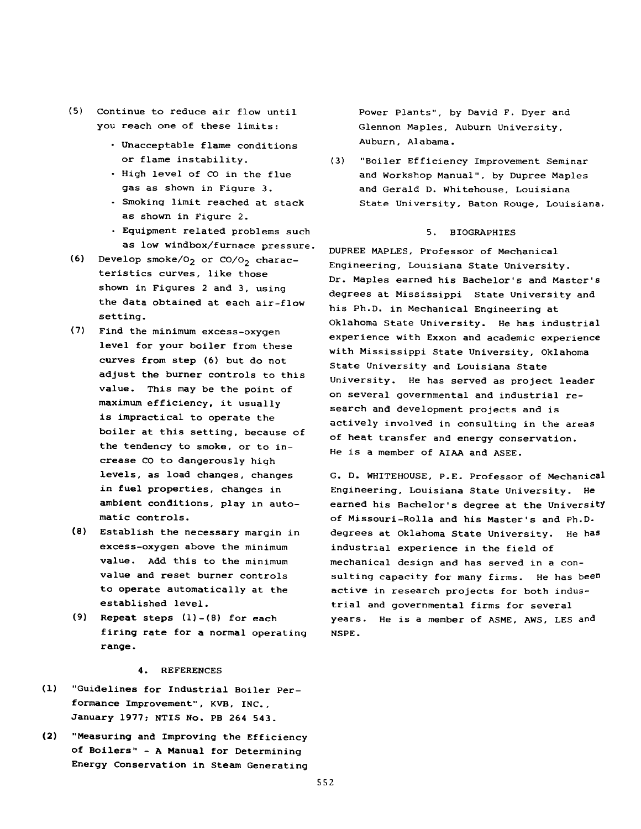- **(**5**)** Continue to reduce air flow until you reach one of these limits:
	- Unacceptable flame conditions or flame instability.
	- High level of CO in the flue gas as shown in Figure 3.
	- Smoking limit reached at stack as shown in Figure 2.
	- Equipment related problems such as low windbox/furnace pressure.
- (6) Develop smoke/ $0<sub>2</sub>$  or CO/ $0<sub>2</sub>$  characteristics curves, like those shown in Figures 2 and 3, using the data obtained at each air-flow setting.
- (7) Find the minimum excess-oxygen level for your boiler from these curves from step (6) but do not adjust the burner controls to this value. This may be the point of maximum efficiency, it usually is impractical to operate the boiler at this setting, because of the tendency to smoke, or to increase CO to dangerously high levels, as load changes, changes in fuel properties, changes in ambient conditions, play in automatic controls.
- (8) Establish the necessary margin in excess-oxygen above the minimum value. Add this to the minimum value and reset burner controls to operate automatically at the established level.
- $(9)$  Repeat steps  $(1)-(8)$  for each firing rate for a normal operating range.

#### 4. REFERENCES

- (1) "Guidelines for Industrial Boiler Performance Improvement", KVB, INC., January 1977; NTIS No. PB 264 543.
- (2) "Measuring and Improving the Efficiency of Boilers" - A Manual for Determining Energy Conservation in Steam Generating

Power Plants", by David F. Dyer and Glennon Maples, Auburn University, Auburn, Alabama.

(3) "Boiler Efficiency Improvement Seminar and Workshop Manual", by Dupree Maples and Gerald D. Whitehouse, Louisiana State University, Baton Rouge, Louisiana.

#### 5. BIOGRAPHIES

DUPREE MAPLES, Professor of Mechanical Engineering, Louisiana State University. Dr. Maples earned his Bachelor's and Master's degrees at Mississippi State University and his Ph.D. in Mechanical Engineering at Oklahoma State University. He has industrial experience with Exxon and academic experience with Mississippi State University, Oklahoma State University and Louisiana State University. He has served as project leader on several governmental and industrial research and development projects and is actively involved in consulting in the areas of heat transfer and energy conservation. He is a member of AIAA and ASEE.

G. D. WHITEHOUSE, p.E. Professor of Mechanical Engineering, Louisiana State University. He earned his Bachelor's degree at the University of Missouri-Rolla and his Master's and Ph.D. degrees at Oklahoma State University. He has industrial experience in the field of mechanical design and has served in a consulting capacity for many firms. He has been active in research projects for both industrial and governmental firms for several years. He is a member of ASME, AWS, LES and NSPE.